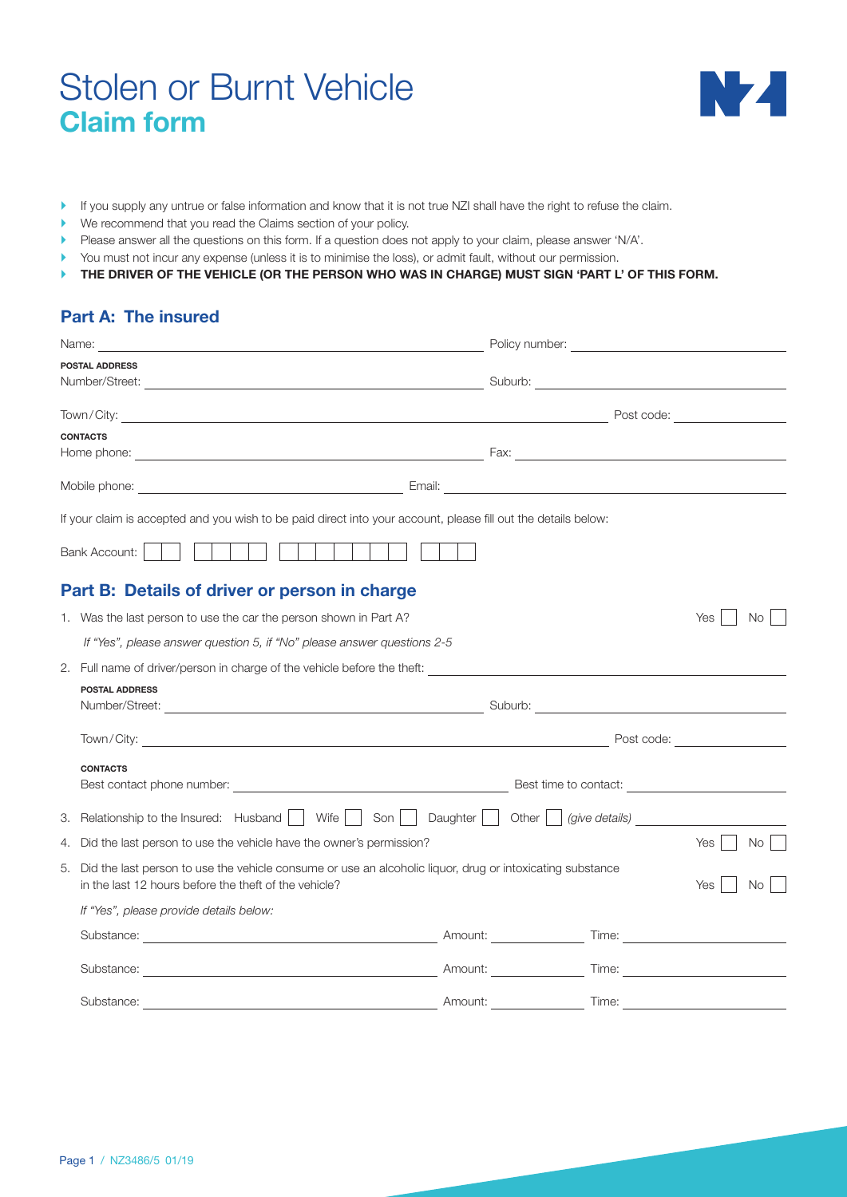# Stolen or Burnt Vehicle **Claim form**



- If you supply any untrue or false information and know that it is not true NZI shall have the right to refuse the claim.
- ` We recommend that you read the Claims section of your policy.
- ` Please answer all the questions on this form. If a question does not apply to your claim, please answer 'N/A'.
- ` You must not incur any expense (unless it is to minimise the loss), or admit fault, without our permission.
- **THE DRIVER OF THE VEHICLE (OR THE PERSON WHO WAS IN CHARGE) MUST SIGN 'PART L' OF THIS FORM.**

#### **Part A: The insured**

|    | Name:                                                                                                                                                                                                                          |         |       |                                  |
|----|--------------------------------------------------------------------------------------------------------------------------------------------------------------------------------------------------------------------------------|---------|-------|----------------------------------|
|    | <b>POSTAL ADDRESS</b>                                                                                                                                                                                                          |         |       |                                  |
|    |                                                                                                                                                                                                                                |         |       |                                  |
|    | <b>CONTACTS</b>                                                                                                                                                                                                                |         |       |                                  |
|    |                                                                                                                                                                                                                                |         |       |                                  |
|    |                                                                                                                                                                                                                                |         |       |                                  |
|    | If your claim is accepted and you wish to be paid direct into your account, please fill out the details below:                                                                                                                 |         |       |                                  |
|    | <b>Bank Account:</b>                                                                                                                                                                                                           |         |       |                                  |
|    | Part B: Details of driver or person in charge                                                                                                                                                                                  |         |       |                                  |
|    | 1. Was the last person to use the car the person shown in Part A?                                                                                                                                                              |         |       | <b>Yes</b><br>No.                |
|    | If "Yes", please answer question 5, if "No" please answer questions 2-5                                                                                                                                                        |         |       |                                  |
|    |                                                                                                                                                                                                                                |         |       |                                  |
|    | <b>POSTAL ADDRESS</b>                                                                                                                                                                                                          |         |       |                                  |
|    |                                                                                                                                                                                                                                |         |       | Post code: <u>______________</u> |
|    | <b>CONTACTS</b>                                                                                                                                                                                                                |         |       |                                  |
|    |                                                                                                                                                                                                                                |         |       |                                  |
|    | 3. Relationship to the Insured: Husband     Wife     Son     Daughter     Other     (give details)                                                                                                                             |         |       |                                  |
|    | 4. Did the last person to use the vehicle have the owner's permission?                                                                                                                                                         |         |       | Yes<br>No.                       |
| 5. | Did the last person to use the vehicle consume or use an alcoholic liquor, drug or intoxicating substance<br>in the last 12 hours before the theft of the vehicle?                                                             |         |       | Yes<br>No.                       |
|    | If "Yes", please provide details below:                                                                                                                                                                                        |         |       |                                  |
|    | Substance: Time: Time: Time: Time: Time: Time: Time: Time: Time: Time: Time: Time: Time: Time: Time: Time: Time: Time: Time: Time: Time: Time: Time: Time: Time: Time: Time: Time: Time: Time: Time: Time: Time: Time: Time: T |         |       |                                  |
|    | Substance: Amount:                                                                                                                                                                                                             |         |       |                                  |
|    | Substance:                                                                                                                                                                                                                     | Amount: | Time: |                                  |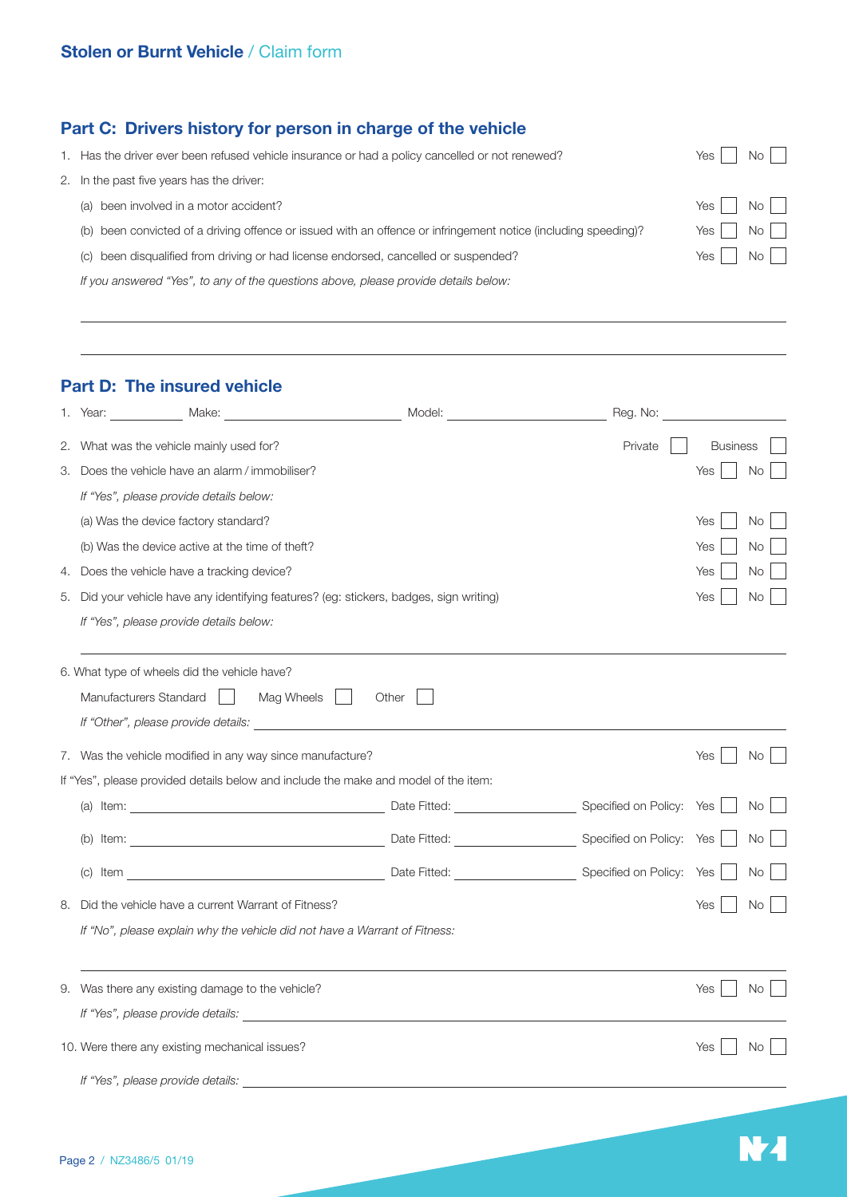## **Part C: Drivers history for person in charge of the vehicle**

| 1. Has the driver ever been refused vehicle insurance or had a policy cancelled or not renewed?                | Yes   | <b>No</b>                    |
|----------------------------------------------------------------------------------------------------------------|-------|------------------------------|
| 2. In the past five years has the driver:                                                                      |       |                              |
| (a) been involved in a motor accident?                                                                         | Yes I | $NO$                         |
| (b) been convicted of a driving offence or issued with an offence or infringement notice (including speeding)? | Yes I | $\overline{N_{\mathcal{O}}}$ |
| (c) been disqualified from driving or had license endorsed, cancelled or suspended?                            | Yes   | No II                        |
| If you answered "Yes", to any of the questions above, please provide details below:                            |       |                              |

## **Part D: The insured vehicle**

|    |                                                                                                                        |       | Reg. No: |                 |           |
|----|------------------------------------------------------------------------------------------------------------------------|-------|----------|-----------------|-----------|
|    | 2. What was the vehicle mainly used for?                                                                               |       | Private  | <b>Business</b> |           |
| 3. | Does the vehicle have an alarm / immobiliser?                                                                          |       |          | Yes             | <b>No</b> |
|    | If "Yes", please provide details below:                                                                                |       |          |                 |           |
|    | (a) Was the device factory standard?                                                                                   |       |          | Yes             | No        |
|    | (b) Was the device active at the time of theft?                                                                        |       |          | Yes             | No        |
| 4. | Does the vehicle have a tracking device?                                                                               |       |          | Yes             | No        |
| 5. | Did your vehicle have any identifying features? (eg: stickers, badges, sign writing)                                   |       |          | Yes             | No        |
|    | If "Yes", please provide details below:                                                                                |       |          |                 |           |
|    | 6. What type of wheels did the vehicle have?                                                                           |       |          |                 |           |
|    | Manufacturers Standard<br>Mag Wheels                                                                                   | Other |          |                 |           |
|    | If "Other", please provide details:<br>                                                                                |       |          |                 |           |
|    | 7. Was the vehicle modified in any way since manufacture?                                                              |       |          | Yes             | <b>No</b> |
|    | If "Yes", please provided details below and include the make and model of the item:                                    |       |          |                 |           |
|    | (a) Item: Specified on Policy: Yes                                                                                     |       |          |                 | No        |
|    |                                                                                                                        |       |          |                 | No        |
|    | (c) Item <b>Specified on Policy:</b> Yes <b>CONFINENTIAL CONFINENT DATE Fitted:</b> CONFIDENT Specified on Policy: Yes |       |          |                 | No        |
| 8. | Did the vehicle have a current Warrant of Fitness?                                                                     |       |          | Yes             | No        |
|    | If "No", please explain why the vehicle did not have a Warrant of Fitness:                                             |       |          |                 |           |
|    |                                                                                                                        |       |          |                 |           |
|    | 9. Was there any existing damage to the vehicle?                                                                       |       |          | Yes             | No        |
|    |                                                                                                                        |       |          |                 |           |
|    | 10. Were there any existing mechanical issues?                                                                         |       |          | Yes             | No.       |
|    | If "Yes", please provide details:                                                                                      |       |          |                 |           |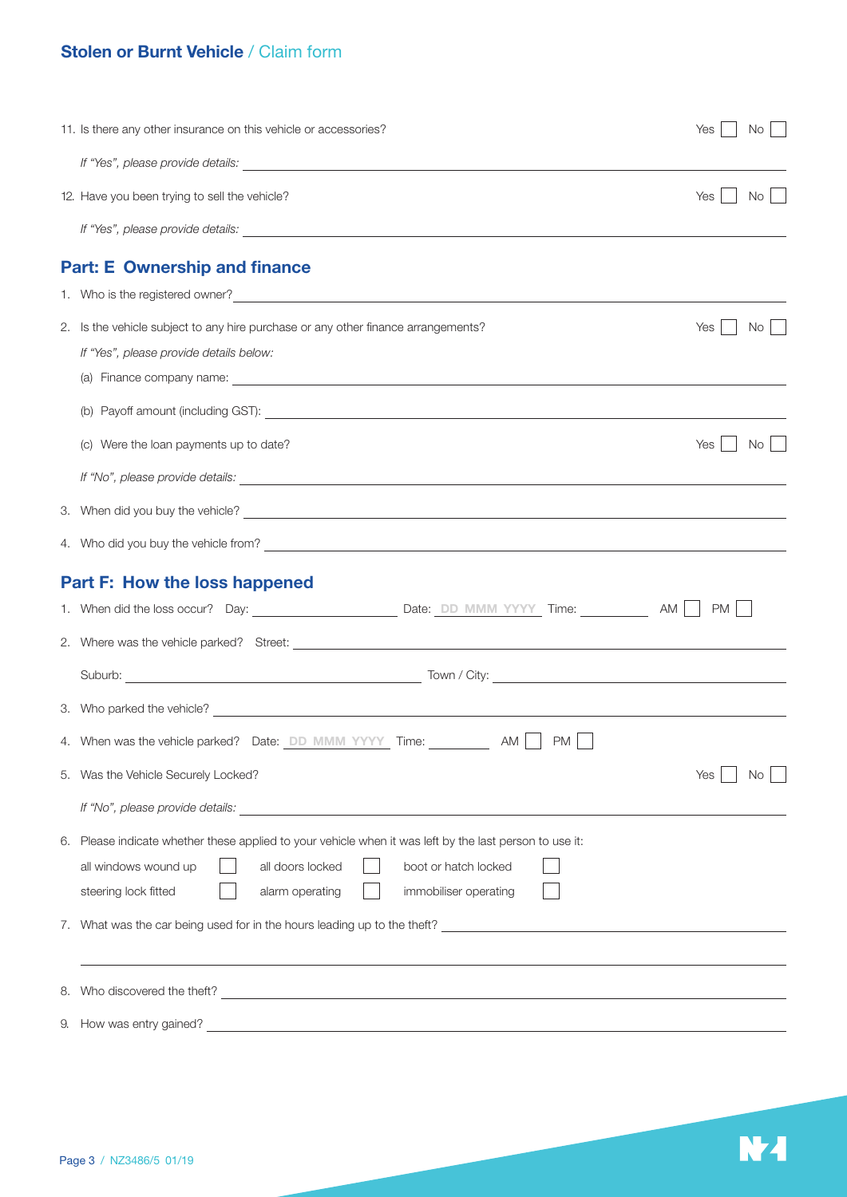# **Stolen or Burnt Vehicle** / Claim form

| 11. Is there any other insurance on this vehicle or accessories?                                                                                                                                                                       | Yes<br>No.  |
|----------------------------------------------------------------------------------------------------------------------------------------------------------------------------------------------------------------------------------------|-------------|
|                                                                                                                                                                                                                                        |             |
| 12. Have you been trying to sell the vehicle?                                                                                                                                                                                          | No<br>Yes   |
|                                                                                                                                                                                                                                        |             |
| <b>Part: E Ownership and finance</b>                                                                                                                                                                                                   |             |
| 1. Who is the registered owner?<br><u> and the second of the second of the second of the second of the second of the second of the second of the second of the second of the second of the second of the second of the second of t</u> |             |
| 2. Is the vehicle subject to any hire purchase or any other finance arrangements?                                                                                                                                                      | No.<br>Yes  |
| If "Yes", please provide details below:                                                                                                                                                                                                |             |
|                                                                                                                                                                                                                                        |             |
|                                                                                                                                                                                                                                        |             |
| (c) Were the loan payments up to date?                                                                                                                                                                                                 | No I<br>Yes |
|                                                                                                                                                                                                                                        |             |
|                                                                                                                                                                                                                                        |             |
|                                                                                                                                                                                                                                        |             |
| <b>Part F: How the loss happened</b>                                                                                                                                                                                                   |             |
|                                                                                                                                                                                                                                        | PM          |
|                                                                                                                                                                                                                                        |             |
|                                                                                                                                                                                                                                        |             |
|                                                                                                                                                                                                                                        |             |
| 3. Who parked the vehicle?                                                                                                                                                                                                             |             |
| 4. When was the vehicle parked? Date: DD MMM YYYY Time:<br><b>PM</b><br>AM                                                                                                                                                             |             |
| 5. Was the Vehicle Securely Locked?                                                                                                                                                                                                    | Yes<br>No   |
| If "No", please provide details: Letter and the set of the set of the set of the set of the set of the set of the set of the set of the set of the set of the set of the set of the set of the set of the set of the set of th         |             |
| 6. Please indicate whether these applied to your vehicle when it was left by the last person to use it:                                                                                                                                |             |
| all doors locked<br>all windows wound up<br>boot or hatch locked                                                                                                                                                                       |             |
| steering lock fitted<br>alarm operating<br>immobiliser operating                                                                                                                                                                       |             |
|                                                                                                                                                                                                                                        |             |
|                                                                                                                                                                                                                                        |             |
|                                                                                                                                                                                                                                        |             |
| 9. How was entry gained?<br><u> 1989 - Johann Stoff, amerikansk politiker (* 1908)</u>                                                                                                                                                 |             |

N<sub>4</sub>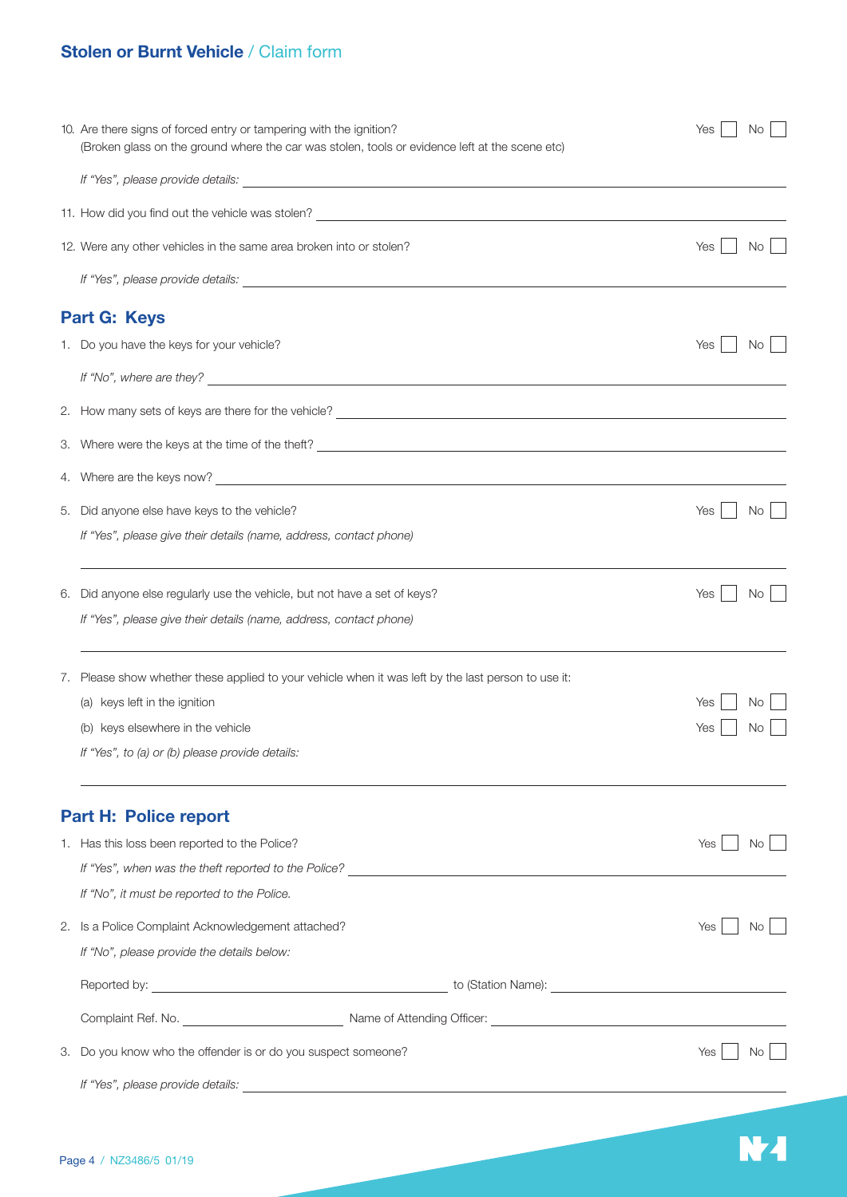# **Stolen or Burnt Vehicle** / Claim form

|    | 10. Are there signs of forced entry or tampering with the ignition?<br>(Broken glass on the ground where the car was stolen, tools or evidence left at the scene etc)                                                        | Yes<br>No.              |
|----|------------------------------------------------------------------------------------------------------------------------------------------------------------------------------------------------------------------------------|-------------------------|
|    |                                                                                                                                                                                                                              |                         |
|    | 11. How did you find out the vehicle was stolen? ________________________________                                                                                                                                            |                         |
|    | 12. Were any other vehicles in the same area broken into or stolen?                                                                                                                                                          | Yes<br>No               |
|    |                                                                                                                                                                                                                              |                         |
|    | Part G: Keys                                                                                                                                                                                                                 |                         |
|    | 1. Do you have the keys for your vehicle?                                                                                                                                                                                    | Yes<br>No.              |
|    | If "No", where are they?                                                                                                                                                                                                     |                         |
|    |                                                                                                                                                                                                                              |                         |
|    |                                                                                                                                                                                                                              |                         |
|    |                                                                                                                                                                                                                              |                         |
|    | 5. Did anyone else have keys to the vehicle?                                                                                                                                                                                 | No<br>Yes               |
|    | If "Yes", please give their details (name, address, contact phone)                                                                                                                                                           |                         |
|    | 6. Did anyone else regularly use the vehicle, but not have a set of keys?<br>If "Yes", please give their details (name, address, contact phone)                                                                              | No.<br>Yes              |
|    | 7. Please show whether these applied to your vehicle when it was left by the last person to use it:<br>(a) keys left in the ignition<br>(b) keys elsewhere in the vehicle<br>If "Yes", to (a) or (b) please provide details: | No<br>Yes<br>No.<br>Yes |
|    | <b>Part H: Police report</b>                                                                                                                                                                                                 |                         |
|    | 1. Has this loss been reported to the Police?                                                                                                                                                                                | Yes<br>No.              |
|    |                                                                                                                                                                                                                              |                         |
|    | If "No", it must be reported to the Police.                                                                                                                                                                                  |                         |
|    | 2. Is a Police Complaint Acknowledgement attached?                                                                                                                                                                           | Yes<br>No.              |
|    | If "No", please provide the details below:                                                                                                                                                                                   |                         |
|    |                                                                                                                                                                                                                              |                         |
|    |                                                                                                                                                                                                                              |                         |
| З. | Do you know who the offender is or do you suspect someone?                                                                                                                                                                   | Yes<br>No.              |
|    |                                                                                                                                                                                                                              |                         |

N<sub>4</sub>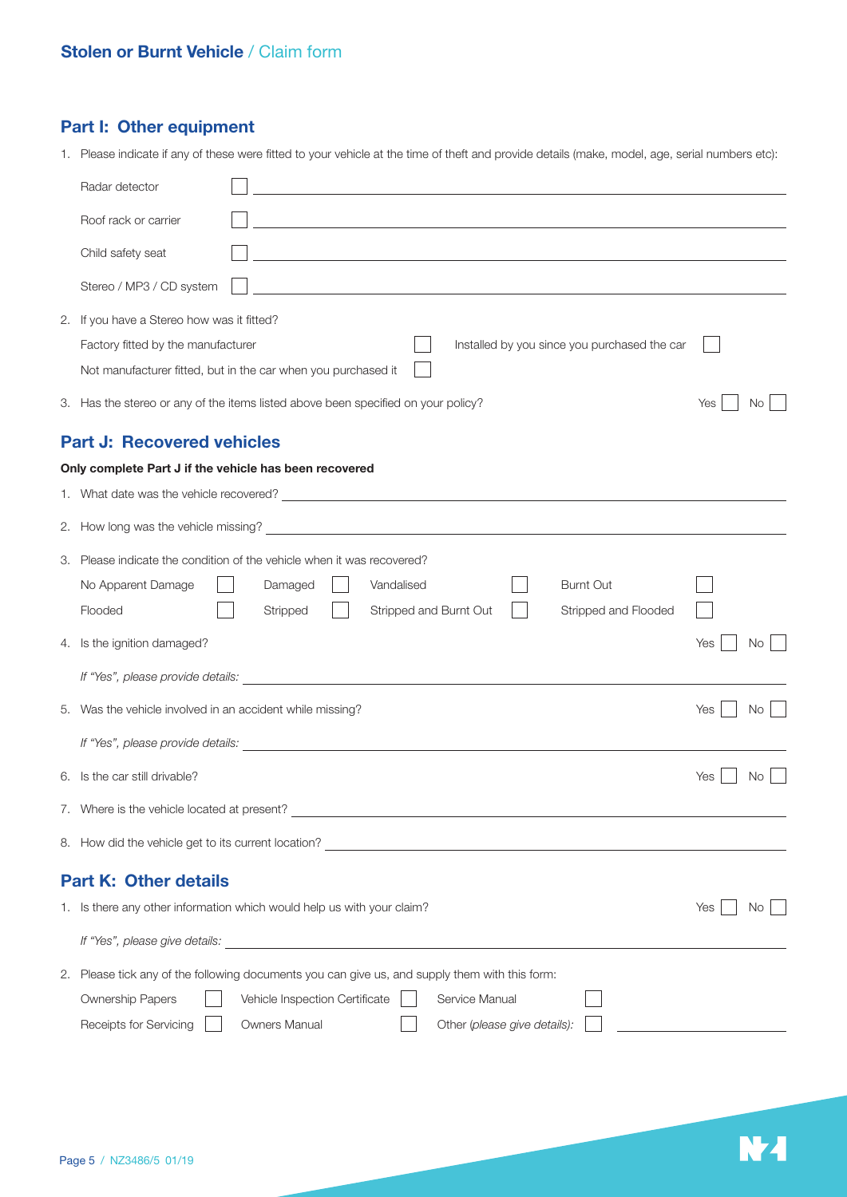# **Part I: Other equipment**

1. Please indicate if any of these were fitted to your vehicle at the time of theft and provide details (make, model, age, serial numbers etc):

| Radar detector                                                                                                                                                                                                                       |     |     |  |  |
|--------------------------------------------------------------------------------------------------------------------------------------------------------------------------------------------------------------------------------------|-----|-----|--|--|
| Roof rack or carrier                                                                                                                                                                                                                 |     |     |  |  |
| Child safety seat<br>and the control of the control of the control of the control of the control of the control of the control of the                                                                                                |     |     |  |  |
| Stereo / MP3 / CD system<br>and the control of the control of the control of the control of the control of the control of the control of the                                                                                         |     |     |  |  |
| 2. If you have a Stereo how was it fitted?                                                                                                                                                                                           |     |     |  |  |
| Installed by you since you purchased the car<br>Factory fitted by the manufacturer                                                                                                                                                   |     |     |  |  |
| Not manufacturer fitted, but in the car when you purchased it                                                                                                                                                                        |     |     |  |  |
| 3. Has the stereo or any of the items listed above been specified on your policy?                                                                                                                                                    | Yes | No  |  |  |
| <b>Part J: Recovered vehicles</b>                                                                                                                                                                                                    |     |     |  |  |
| Only complete Part J if the vehicle has been recovered                                                                                                                                                                               |     |     |  |  |
|                                                                                                                                                                                                                                      |     |     |  |  |
|                                                                                                                                                                                                                                      |     |     |  |  |
| 3. Please indicate the condition of the vehicle when it was recovered?                                                                                                                                                               |     |     |  |  |
| Vandalised<br><b>Burnt Out</b><br>No Apparent Damage<br>Damaged                                                                                                                                                                      |     |     |  |  |
| Flooded<br>Stripped<br>Stripped and Burnt Out<br>Stripped and Flooded                                                                                                                                                                |     |     |  |  |
| 4. Is the ignition damaged?                                                                                                                                                                                                          | Yes | No. |  |  |
| If "Yes", please provide details: <b>contained a set of the set of the set of the set of the set of the set of the set of the set of the set of the set of the set of the set of the set of the set of the set of the set of the</b> |     |     |  |  |
| 5. Was the vehicle involved in an accident while missing?                                                                                                                                                                            | Yes | No  |  |  |
|                                                                                                                                                                                                                                      |     |     |  |  |
| 6. Is the car still drivable?                                                                                                                                                                                                        | Yes | No. |  |  |
| 7. Where is the vehicle located at present?                                                                                                                                                                                          |     |     |  |  |
|                                                                                                                                                                                                                                      |     |     |  |  |
| <b>Part K: Other details</b>                                                                                                                                                                                                         |     |     |  |  |
| 1. Is there any other information which would help us with your claim?                                                                                                                                                               | Yes | Νo  |  |  |
|                                                                                                                                                                                                                                      |     |     |  |  |
| 2. Please tick any of the following documents you can give us, and supply them with this form:                                                                                                                                       |     |     |  |  |
| Ownership Papers<br>Vehicle Inspection Certificate<br>Service Manual                                                                                                                                                                 |     |     |  |  |
| Owners Manual<br>Other (please give details):<br>Receipts for Servicing                                                                                                                                                              |     |     |  |  |